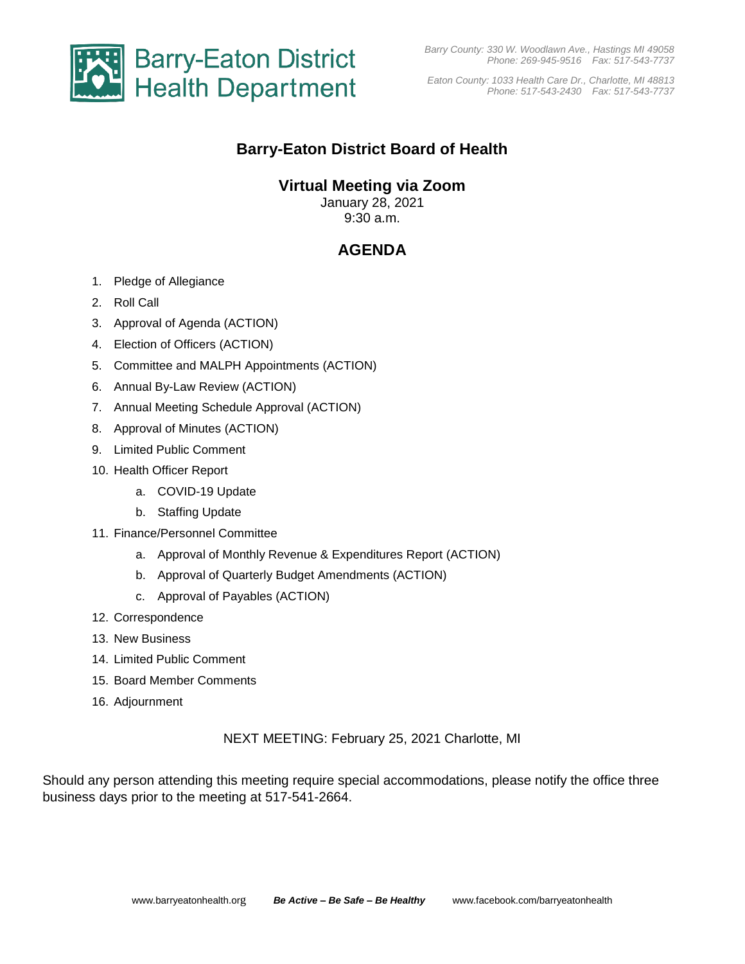

*Eaton County: 1033 Health Care Dr., Charlotte, MI 48813 Phone: 517-543-2430 Fax: 517-543-7737*

# **Barry-Eaton District Board of Health**

## **Virtual Meeting via Zoom**

January 28, 2021 9:30 a.m.

# **AGENDA**

- 1. Pledge of Allegiance
- 2. Roll Call
- 3. Approval of Agenda (ACTION)
- 4. Election of Officers (ACTION)
- 5. Committee and MALPH Appointments (ACTION)
- 6. Annual By-Law Review (ACTION)
- 7. Annual Meeting Schedule Approval (ACTION)
- 8. Approval of Minutes (ACTION)
- 9. Limited Public Comment
- 10. Health Officer Report
	- a. COVID-19 Update
	- b. Staffing Update
- 11. Finance/Personnel Committee
	- a. Approval of Monthly Revenue & Expenditures Report (ACTION)
	- b. Approval of Quarterly Budget Amendments (ACTION)
	- c. Approval of Payables (ACTION)
- 12. Correspondence
- 13. New Business
- 14. Limited Public Comment
- 15. Board Member Comments
- 16. Adjournment

### NEXT MEETING: February 25, 2021 Charlotte, MI

Should any person attending this meeting require special accommodations, please notify the office three business days prior to the meeting at 517-541-2664.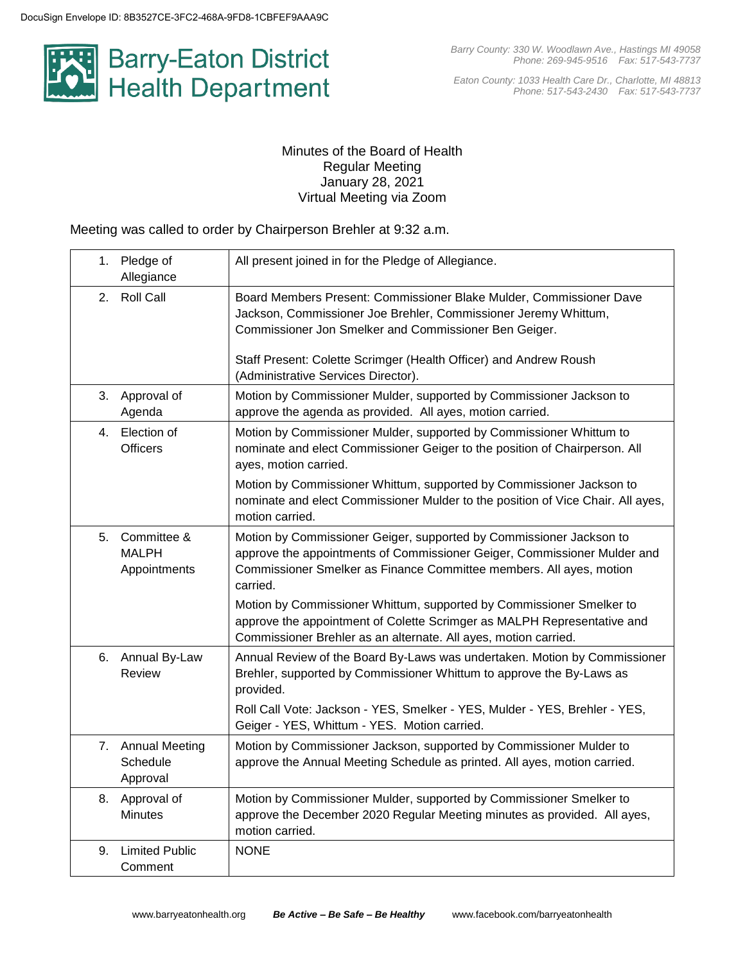

*Eaton County: 1033 Health Care Dr., Charlotte, MI 48813 Phone: 517-543-2430 Fax: 517-543-7737*

### Minutes of the Board of Health Regular Meeting January 28, 2021 Virtual Meeting via Zoom

Meeting was called to order by Chairperson Brehler at 9:32 a.m.

|    | 1. Pledge of<br>Allegiance                  | All present joined in for the Pledge of Allegiance.                                                                                                                                                                                                                                                         |
|----|---------------------------------------------|-------------------------------------------------------------------------------------------------------------------------------------------------------------------------------------------------------------------------------------------------------------------------------------------------------------|
| 2. | <b>Roll Call</b>                            | Board Members Present: Commissioner Blake Mulder, Commissioner Dave<br>Jackson, Commissioner Joe Brehler, Commissioner Jeremy Whittum,<br>Commissioner Jon Smelker and Commissioner Ben Geiger.<br>Staff Present: Colette Scrimger (Health Officer) and Andrew Roush<br>(Administrative Services Director). |
|    | 3. Approval of<br>Agenda                    | Motion by Commissioner Mulder, supported by Commissioner Jackson to<br>approve the agenda as provided. All ayes, motion carried.                                                                                                                                                                            |
|    | 4. Election of<br><b>Officers</b>           | Motion by Commissioner Mulder, supported by Commissioner Whittum to<br>nominate and elect Commissioner Geiger to the position of Chairperson. All<br>ayes, motion carried.                                                                                                                                  |
|    |                                             | Motion by Commissioner Whittum, supported by Commissioner Jackson to<br>nominate and elect Commissioner Mulder to the position of Vice Chair. All ayes,<br>motion carried.                                                                                                                                  |
| 5. | Committee &<br><b>MALPH</b><br>Appointments | Motion by Commissioner Geiger, supported by Commissioner Jackson to<br>approve the appointments of Commissioner Geiger, Commissioner Mulder and<br>Commissioner Smelker as Finance Committee members. All ayes, motion<br>carried.                                                                          |
|    |                                             | Motion by Commissioner Whittum, supported by Commissioner Smelker to<br>approve the appointment of Colette Scrimger as MALPH Representative and<br>Commissioner Brehler as an alternate. All ayes, motion carried.                                                                                          |
| 6. | Annual By-Law<br>Review                     | Annual Review of the Board By-Laws was undertaken. Motion by Commissioner<br>Brehler, supported by Commissioner Whittum to approve the By-Laws as<br>provided.                                                                                                                                              |
|    |                                             | Roll Call Vote: Jackson - YES, Smelker - YES, Mulder - YES, Brehler - YES,<br>Geiger - YES, Whittum - YES. Motion carried.                                                                                                                                                                                  |
|    | 7. Annual Meeting<br>Schedule<br>Approval   | Motion by Commissioner Jackson, supported by Commissioner Mulder to<br>approve the Annual Meeting Schedule as printed. All ayes, motion carried.                                                                                                                                                            |
|    | 8. Approval of<br><b>Minutes</b>            | Motion by Commissioner Mulder, supported by Commissioner Smelker to<br>approve the December 2020 Regular Meeting minutes as provided. All ayes,<br>motion carried.                                                                                                                                          |
| 9. | <b>Limited Public</b><br>Comment            | <b>NONE</b>                                                                                                                                                                                                                                                                                                 |